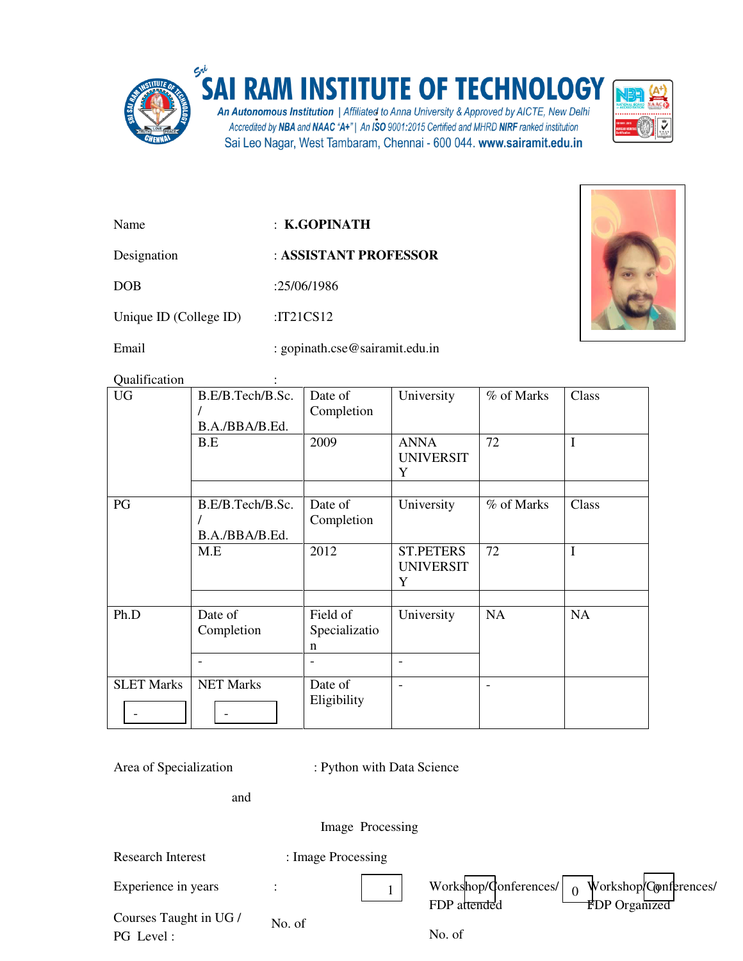

## **SA RAM INSTITUTE OF TECHNOLOGY**

An Autonomous Institution | Affiliated to Anna University & Approved by AICTE, New Delhi<br>Accredited by NBA and NAAC "A+" | An ISO 9001:2015 Certified and MHRD NIRF ranked institution Sai Leo Nagar, West Tambaram, Chennai - 600 044. www.sairamit.edu.in



Name : **K.GOPINATH** 

Designation : **ASSISTANT PROFESSOR** 

DOB :25/06/1986

Unique ID (College ID) :IT21CS12

Email : gopinath.cse@sairamit.edu.in

Qualification :

| <b>UG</b>         | B.E/B.Tech/B.Sc.<br>B.A./BBA/B.Ed. | Date of<br>Completion          | University                                               | % of Marks | Class       |
|-------------------|------------------------------------|--------------------------------|----------------------------------------------------------|------------|-------------|
|                   | B.E                                | 2009                           | <b>ANNA</b><br><b>UNIVERSIT</b><br>Y                     | 72         | $\mathbf I$ |
| PG                | B.E/B.Tech/B.Sc.<br>B.A./BBA/B.Ed. | Date of<br>Completion          | University                                               | % of Marks | Class       |
|                   | M.E                                | 2012                           | <b>ST.PETERS</b><br><b>UNIVERSIT</b><br>Y                | 72         | $\bf I$     |
| Ph.D              | Date of<br>Completion              | Field of<br>Specializatio<br>n | University                                               | NA         | <b>NA</b>   |
| <b>SLET Marks</b> | <b>NET Marks</b>                   | Date of<br>Eligibility         | $\qquad \qquad \blacksquare$<br>$\overline{\phantom{0}}$ | ۰          |             |

Area of Specialization : Python with Data Science

and

Image Processing

| <b>Research Interest</b> | : Image Processing |                                                                                                    |
|--------------------------|--------------------|----------------------------------------------------------------------------------------------------|
| Experience in years      |                    | Workshop/Conferences/<br>Workshop/Conferences/<br>$\Omega$<br>FDP attended<br><b>FDP</b> Organized |
| Courses Taught in UG /   | No. of             |                                                                                                    |
| PG Level:                |                    | No. of                                                                                             |

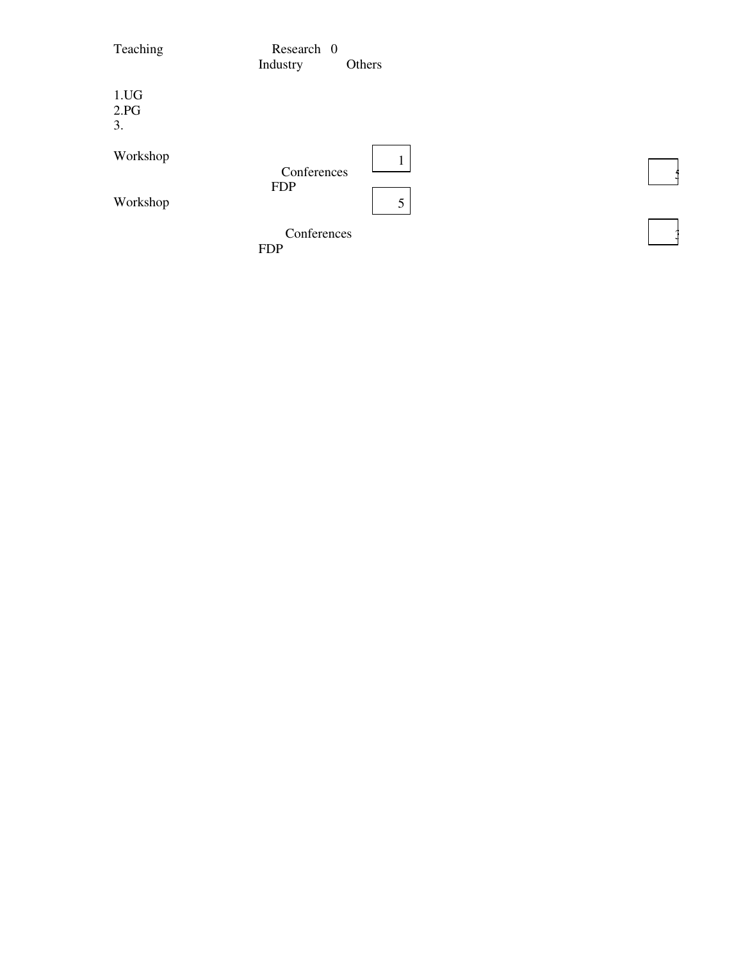